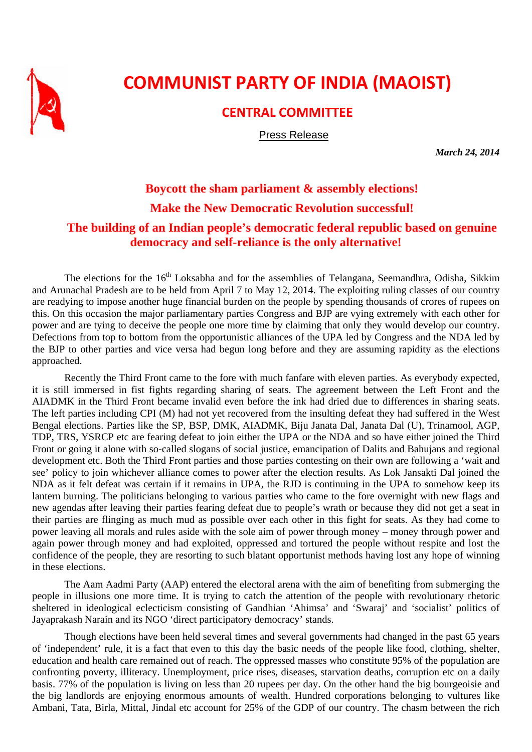

## **COMMUNIST PARTY OF INDIA (MAOIST)**

## **CENTRAL COMMITTEE**

Press Release

*March 24, 2014* 

## **Boycott the sham parliament & assembly elections! Make the New Democratic Revolution successful! The building of an Indian people's democratic federal republic based on genuine democracy and self-reliance is the only alternative!**

The elections for the 16<sup>th</sup> Loksabha and for the assemblies of Telangana, Seemandhra, Odisha, Sikkim and Arunachal Pradesh are to be held from April 7 to May 12, 2014. The exploiting ruling classes of our country are readying to impose another huge financial burden on the people by spending thousands of crores of rupees on this. On this occasion the major parliamentary parties Congress and BJP are vying extremely with each other for power and are tying to deceive the people one more time by claiming that only they would develop our country. Defections from top to bottom from the opportunistic alliances of the UPA led by Congress and the NDA led by the BJP to other parties and vice versa had begun long before and they are assuming rapidity as the elections approached.

Recently the Third Front came to the fore with much fanfare with eleven parties. As everybody expected, it is still immersed in fist fights regarding sharing of seats. The agreement between the Left Front and the AIADMK in the Third Front became invalid even before the ink had dried due to differences in sharing seats. The left parties including CPI (M) had not yet recovered from the insulting defeat they had suffered in the West Bengal elections. Parties like the SP, BSP, DMK, AIADMK, Biju Janata Dal, Janata Dal (U), Trinamool, AGP, TDP, TRS, YSRCP etc are fearing defeat to join either the UPA or the NDA and so have either joined the Third Front or going it alone with so-called slogans of social justice, emancipation of Dalits and Bahujans and regional development etc. Both the Third Front parties and those parties contesting on their own are following a 'wait and see' policy to join whichever alliance comes to power after the election results. As Lok Jansakti Dal joined the NDA as it felt defeat was certain if it remains in UPA, the RJD is continuing in the UPA to somehow keep its lantern burning. The politicians belonging to various parties who came to the fore overnight with new flags and new agendas after leaving their parties fearing defeat due to people's wrath or because they did not get a seat in their parties are flinging as much mud as possible over each other in this fight for seats. As they had come to power leaving all morals and rules aside with the sole aim of power through money – money through power and again power through money and had exploited, oppressed and tortured the people without respite and lost the confidence of the people, they are resorting to such blatant opportunist methods having lost any hope of winning in these elections.

The Aam Aadmi Party (AAP) entered the electoral arena with the aim of benefiting from submerging the people in illusions one more time. It is trying to catch the attention of the people with revolutionary rhetoric sheltered in ideological eclecticism consisting of Gandhian 'Ahimsa' and 'Swaraj' and 'socialist' politics of Jayaprakash Narain and its NGO 'direct participatory democracy' stands.

Though elections have been held several times and several governments had changed in the past 65 years of 'independent' rule, it is a fact that even to this day the basic needs of the people like food, clothing, shelter, education and health care remained out of reach. The oppressed masses who constitute 95% of the population are confronting poverty, illiteracy. Unemployment, price rises, diseases, starvation deaths, corruption etc on a daily basis. 77% of the population is living on less than 20 rupees per day. On the other hand the big bourgeoisie and the big landlords are enjoying enormous amounts of wealth. Hundred corporations belonging to vultures like Ambani, Tata, Birla, Mittal, Jindal etc account for 25% of the GDP of our country. The chasm between the rich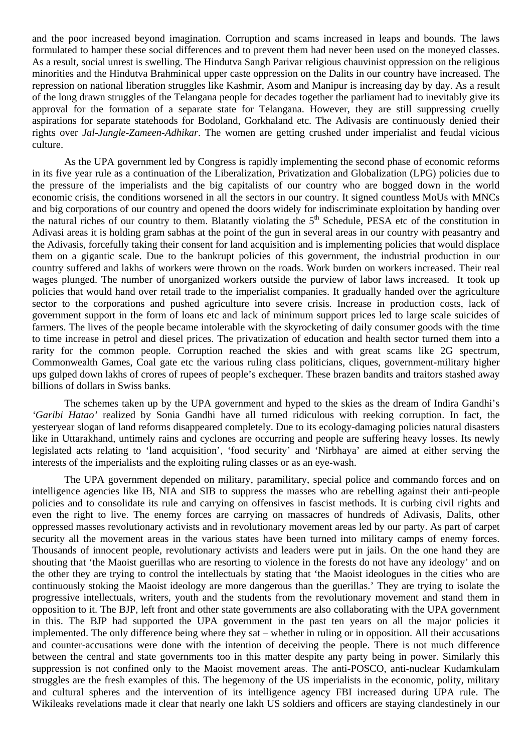and the poor increased beyond imagination. Corruption and scams increased in leaps and bounds. The laws formulated to hamper these social differences and to prevent them had never been used on the moneyed classes. As a result, social unrest is swelling. The Hindutva Sangh Parivar religious chauvinist oppression on the religious minorities and the Hindutva Brahminical upper caste oppression on the Dalits in our country have increased. The repression on national liberation struggles like Kashmir, Asom and Manipur is increasing day by day. As a result of the long drawn struggles of the Telangana people for decades together the parliament had to inevitably give its approval for the formation of a separate state for Telangana. However, they are still suppressing cruelly aspirations for separate statehoods for Bodoland, Gorkhaland etc. The Adivasis are continuously denied their rights over *Jal-Jungle-Zameen-Adhikar*. The women are getting crushed under imperialist and feudal vicious culture.

As the UPA government led by Congress is rapidly implementing the second phase of economic reforms in its five year rule as a continuation of the Liberalization, Privatization and Globalization (LPG) policies due to the pressure of the imperialists and the big capitalists of our country who are bogged down in the world economic crisis, the conditions worsened in all the sectors in our country. It signed countless MoUs with MNCs and big corporations of our country and opened the doors widely for indiscriminate exploitation by handing over the natural riches of our country to them. Blatantly violating the  $5<sup>th</sup>$  Schedule, PESA etc of the constitution in Adivasi areas it is holding gram sabhas at the point of the gun in several areas in our country with peasantry and the Adivasis, forcefully taking their consent for land acquisition and is implementing policies that would displace them on a gigantic scale. Due to the bankrupt policies of this government, the industrial production in our country suffered and lakhs of workers were thrown on the roads. Work burden on workers increased. Their real wages plunged. The number of unorganized workers outside the purview of labor laws increased. It took up policies that would hand over retail trade to the imperialist companies. It gradually handed over the agriculture sector to the corporations and pushed agriculture into severe crisis. Increase in production costs, lack of government support in the form of loans etc and lack of minimum support prices led to large scale suicides of farmers. The lives of the people became intolerable with the skyrocketing of daily consumer goods with the time to time increase in petrol and diesel prices. The privatization of education and health sector turned them into a rarity for the common people. Corruption reached the skies and with great scams like 2G spectrum, Commonwealth Games, Coal gate etc the various ruling class politicians, cliques, government-military higher ups gulped down lakhs of crores of rupees of people's exchequer. These brazen bandits and traitors stashed away billions of dollars in Swiss banks.

The schemes taken up by the UPA government and hyped to the skies as the dream of Indira Gandhi's *'Garibi Hatao'* realized by Sonia Gandhi have all turned ridiculous with reeking corruption. In fact, the yesteryear slogan of land reforms disappeared completely. Due to its ecology-damaging policies natural disasters like in Uttarakhand, untimely rains and cyclones are occurring and people are suffering heavy losses. Its newly legislated acts relating to 'land acquisition', 'food security' and 'Nirbhaya' are aimed at either serving the interests of the imperialists and the exploiting ruling classes or as an eye-wash.

The UPA government depended on military, paramilitary, special police and commando forces and on intelligence agencies like IB, NIA and SIB to suppress the masses who are rebelling against their anti-people policies and to consolidate its rule and carrying on offensives in fascist methods. It is curbing civil rights and even the right to live. The enemy forces are carrying on massacres of hundreds of Adivasis, Dalits, other oppressed masses revolutionary activists and in revolutionary movement areas led by our party. As part of carpet security all the movement areas in the various states have been turned into military camps of enemy forces. Thousands of innocent people, revolutionary activists and leaders were put in jails. On the one hand they are shouting that 'the Maoist guerillas who are resorting to violence in the forests do not have any ideology' and on the other they are trying to control the intellectuals by stating that 'the Maoist ideologues in the cities who are continuously stoking the Maoist ideology are more dangerous than the guerillas.' They are trying to isolate the progressive intellectuals, writers, youth and the students from the revolutionary movement and stand them in opposition to it. The BJP, left front and other state governments are also collaborating with the UPA government in this. The BJP had supported the UPA government in the past ten years on all the major policies it implemented. The only difference being where they sat – whether in ruling or in opposition. All their accusations and counter-accusations were done with the intention of deceiving the people. There is not much difference between the central and state governments too in this matter despite any party being in power. Similarly this suppression is not confined only to the Maoist movement areas. The anti-POSCO, anti-nuclear Kudamkulam struggles are the fresh examples of this. The hegemony of the US imperialists in the economic, polity, military and cultural spheres and the intervention of its intelligence agency FBI increased during UPA rule. The Wikileaks revelations made it clear that nearly one lakh US soldiers and officers are staying clandestinely in our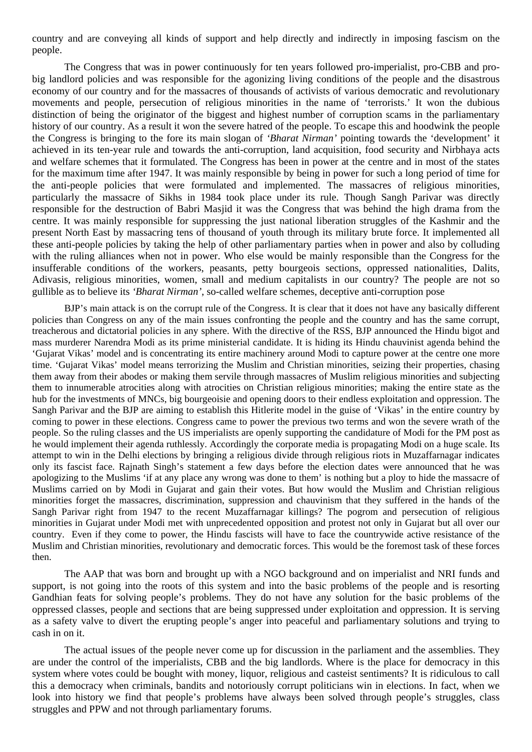country and are conveying all kinds of support and help directly and indirectly in imposing fascism on the people.

The Congress that was in power continuously for ten years followed pro-imperialist, pro-CBB and probig landlord policies and was responsible for the agonizing living conditions of the people and the disastrous economy of our country and for the massacres of thousands of activists of various democratic and revolutionary movements and people, persecution of religious minorities in the name of 'terrorists.' It won the dubious distinction of being the originator of the biggest and highest number of corruption scams in the parliamentary history of our country. As a result it won the severe hatred of the people. To escape this and hoodwink the people the Congress is bringing to the fore its main slogan of *'Bharat Nirman'* pointing towards the 'development' it achieved in its ten-year rule and towards the anti-corruption, land acquisition, food security and Nirbhaya acts and welfare schemes that it formulated. The Congress has been in power at the centre and in most of the states for the maximum time after 1947. It was mainly responsible by being in power for such a long period of time for the anti-people policies that were formulated and implemented. The massacres of religious minorities, particularly the massacre of Sikhs in 1984 took place under its rule. Though Sangh Parivar was directly responsible for the destruction of Babri Masjid it was the Congress that was behind the high drama from the centre. It was mainly responsible for suppressing the just national liberation struggles of the Kashmir and the present North East by massacring tens of thousand of youth through its military brute force. It implemented all these anti-people policies by taking the help of other parliamentary parties when in power and also by colluding with the ruling alliances when not in power. Who else would be mainly responsible than the Congress for the insufferable conditions of the workers, peasants, petty bourgeois sections, oppressed nationalities, Dalits, Adivasis, religious minorities, women, small and medium capitalists in our country? The people are not so gullible as to believe its *'Bharat Nirman'*, so-called welfare schemes, deceptive anti-corruption pose

BJP's main attack is on the corrupt rule of the Congress. It is clear that it does not have any basically different policies than Congress on any of the main issues confronting the people and the country and has the same corrupt, treacherous and dictatorial policies in any sphere. With the directive of the RSS, BJP announced the Hindu bigot and mass murderer Narendra Modi as its prime ministerial candidate. It is hiding its Hindu chauvinist agenda behind the 'Gujarat Vikas' model and is concentrating its entire machinery around Modi to capture power at the centre one more time. 'Gujarat Vikas' model means terrorizing the Muslim and Christian minorities, seizing their properties, chasing them away from their abodes or making them servile through massacres of Muslim religious minorities and subjecting them to innumerable atrocities along with atrocities on Christian religious minorities; making the entire state as the hub for the investments of MNCs, big bourgeoisie and opening doors to their endless exploitation and oppression. The Sangh Parivar and the BJP are aiming to establish this Hitlerite model in the guise of 'Vikas' in the entire country by coming to power in these elections. Congress came to power the previous two terms and won the severe wrath of the people. So the ruling classes and the US imperialists are openly supporting the candidature of Modi for the PM post as he would implement their agenda ruthlessly. Accordingly the corporate media is propagating Modi on a huge scale. Its attempt to win in the Delhi elections by bringing a religious divide through religious riots in Muzaffarnagar indicates only its fascist face. Rajnath Singh's statement a few days before the election dates were announced that he was apologizing to the Muslims 'if at any place any wrong was done to them' is nothing but a ploy to hide the massacre of Muslims carried on by Modi in Gujarat and gain their votes. But how would the Muslim and Christian religious minorities forget the massacres, discrimination, suppression and chauvinism that they suffered in the hands of the Sangh Parivar right from 1947 to the recent Muzaffarnagar killings? The pogrom and persecution of religious minorities in Gujarat under Modi met with unprecedented opposition and protest not only in Gujarat but all over our country. Even if they come to power, the Hindu fascists will have to face the countrywide active resistance of the Muslim and Christian minorities, revolutionary and democratic forces. This would be the foremost task of these forces then.

The AAP that was born and brought up with a NGO background and on imperialist and NRI funds and support, is not going into the roots of this system and into the basic problems of the people and is resorting Gandhian feats for solving people's problems. They do not have any solution for the basic problems of the oppressed classes, people and sections that are being suppressed under exploitation and oppression. It is serving as a safety valve to divert the erupting people's anger into peaceful and parliamentary solutions and trying to cash in on it.

The actual issues of the people never come up for discussion in the parliament and the assemblies. They are under the control of the imperialists, CBB and the big landlords. Where is the place for democracy in this system where votes could be bought with money, liquor, religious and casteist sentiments? It is ridiculous to call this a democracy when criminals, bandits and notoriously corrupt politicians win in elections. In fact, when we look into history we find that people's problems have always been solved through people's struggles, class struggles and PPW and not through parliamentary forums.